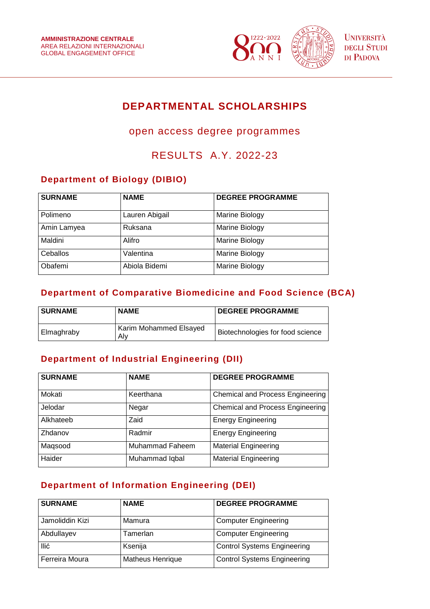

# **DEPARTMENTAL SCHOLARSHIPS**

# open access degree programmes

# RESULTS A.Y. 2022-23

## **Department of Biology (DIBIO)**

| <b>SURNAME</b> | <b>NAME</b>    | <b>DEGREE PROGRAMME</b> |
|----------------|----------------|-------------------------|
| Polimeno       | Lauren Abigail | Marine Biology          |
| Amin Lamyea    | Ruksana        | Marine Biology          |
| Maldini        | Alifro         | Marine Biology          |
| Ceballos       | Valentina      | Marine Biology          |
| Obafemi        | Abiola Bidemi  | Marine Biology          |

## **Department of Comparative Biomedicine and Food Science (BCA)**

| <b>SURNAME</b> | <b>NAME</b>                   | <b>DEGREE PROGRAMME</b>          |
|----------------|-------------------------------|----------------------------------|
| l Elmaghraby   | Karim Mohammed Elsayed<br>Alv | Biotechnologies for food science |

# **Department of Industrial Engineering (DII)**

| <b>SURNAME</b> | <b>NAME</b>            | <b>DEGREE PROGRAMME</b>                 |
|----------------|------------------------|-----------------------------------------|
| Mokati         | Keerthana              | <b>Chemical and Process Engineering</b> |
| Jelodar        | Negar                  | <b>Chemical and Process Engineering</b> |
| Alkhateeb      | Zaid                   | <b>Energy Engineering</b>               |
| Zhdanov        | Radmir                 | <b>Energy Engineering</b>               |
| Magsood        | <b>Muhammad Faheem</b> | <b>Material Engineering</b>             |
| Haider         | Muhammad Iqbal         | <b>Material Engineering</b>             |

# **Department of Information Engineering (DEI)**

| <b>SURNAME</b>  | <b>NAME</b>             | <b>DEGREE PROGRAMME</b>            |
|-----------------|-------------------------|------------------------------------|
| Jamoliddin Kizi | Mamura                  | <b>Computer Engineering</b>        |
| Abdullayev      | Tamerlan                | <b>Computer Engineering</b>        |
| Ilić            | Ksenija                 | <b>Control Systems Engineering</b> |
| Ferreira Moura  | <b>Matheus Henrique</b> | <b>Control Systems Engineering</b> |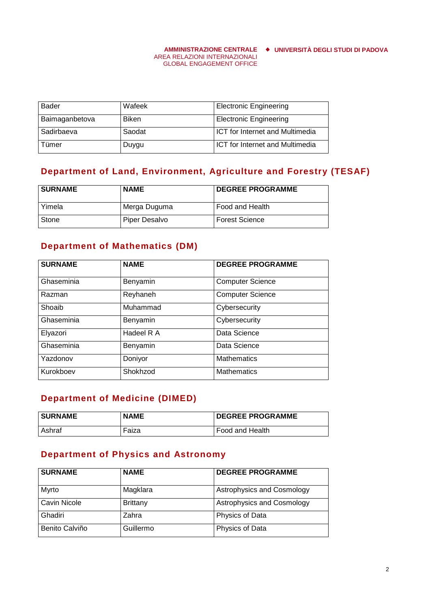#### **AMMINISTRAZIONE CENTRALE UNIVERSITÀ DEGLI STUDI DI PADOVA**

### AREA RELAZIONI INTERNAZIONALI GLOBAL ENGAGEMENT OFFICE

| <b>Bader</b>   | Wafeek       | <b>Electronic Engineering</b>          |
|----------------|--------------|----------------------------------------|
| Baimaganbetova | <b>Biken</b> | <b>Electronic Engineering</b>          |
| Sadirbaeva     | Saodat       | <b>ICT</b> for Internet and Multimedia |
| Tümer          | Duygu        | <b>ICT</b> for Internet and Multimedia |

### **Department of Land, Environment, Agriculture and Forestry (TESAF)**

| <b>SURNAME</b> | <b>NAME</b>   | <b>DEGREE PROGRAMME</b> |
|----------------|---------------|-------------------------|
| l Yimela       | Merga Duguma  | Food and Health         |
| <b>Stone</b>   | Piper Desalvo | <b>Forest Science</b>   |

### **Department of Mathematics (DM)**

| <b>SURNAME</b> | <b>NAME</b> | <b>DEGREE PROGRAMME</b> |
|----------------|-------------|-------------------------|
| Ghaseminia     | Benyamin    | <b>Computer Science</b> |
| Razman         | Reyhaneh    | <b>Computer Science</b> |
| Shoaib         | Muhammad    | Cybersecurity           |
| Ghaseminia     | Benyamin    | Cybersecurity           |
| Elyazori       | Hadeel R A  | Data Science            |
| Ghaseminia     | Benyamin    | Data Science            |
| Yazdonov       | Doniyor     | Mathematics             |
| Kurokboev      | Shokhzod    | <b>Mathematics</b>      |

### **Department of Medicine (DIMED)**

| <b>SURNAME</b> | <b>NAME</b> | <b>DEGREE PROGRAMME</b> |
|----------------|-------------|-------------------------|
| l Ashraf       | Faiza       | Food and Health         |

### **Department of Physics and Astronomy**

| <b>SURNAME</b>      | <b>NAME</b>     | <b>DEGREE PROGRAMME</b>    |
|---------------------|-----------------|----------------------------|
| Myrto               | Magklara        | Astrophysics and Cosmology |
| <b>Cavin Nicole</b> | <b>Brittany</b> | Astrophysics and Cosmology |
| Ghadiri             | Zahra           | Physics of Data            |
| Benito Calviño      | Guillermo       | Physics of Data            |